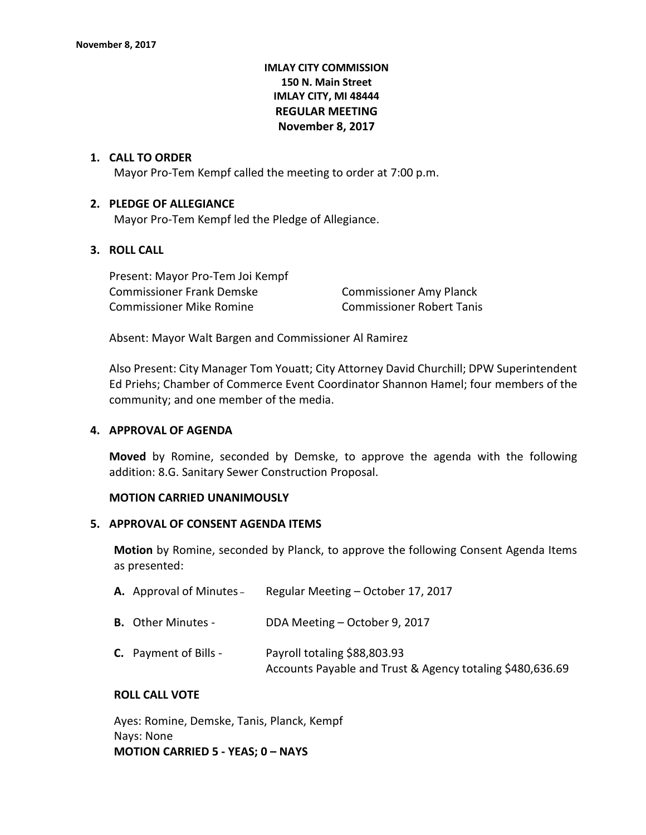# **IMLAY CITY COMMISSION 150 N. Main Street IMLAY CITY, MI 48444 REGULAR MEETING November 8, 2017**

### **1. CALL TO ORDER**

Mayor Pro-Tem Kempf called the meeting to order at 7:00 p.m.

#### **2. PLEDGE OF ALLEGIANCE**

Mayor Pro-Tem Kempf led the Pledge of Allegiance.

# **3. ROLL CALL**

Present: Mayor Pro-Tem Joi Kempf Commissioner Frank Demske Commissioner Amy Planck Commissioner Mike Romine Commissioner Robert Tanis

Absent: Mayor Walt Bargen and Commissioner Al Ramirez

Also Present: City Manager Tom Youatt; City Attorney David Churchill; DPW Superintendent Ed Priehs; Chamber of Commerce Event Coordinator Shannon Hamel; four members of the community; and one member of the media.

#### **4. APPROVAL OF AGENDA**

**Moved** by Romine, seconded by Demske, to approve the agenda with the following addition: 8.G. Sanitary Sewer Construction Proposal.

#### **MOTION CARRIED UNANIMOUSLY**

#### **5. APPROVAL OF CONSENT AGENDA ITEMS**

**Motion** by Romine, seconded by Planck, to approve the following Consent Agenda Items as presented:

| A. Approval of Minutes -     | Regular Meeting - October 17, 2017                                                        |
|------------------------------|-------------------------------------------------------------------------------------------|
| <b>B.</b> Other Minutes -    | DDA Meeting - October 9, 2017                                                             |
| <b>C.</b> Payment of Bills - | Payroll totaling \$88,803.93<br>Accounts Payable and Trust & Agency totaling \$480,636.69 |

## **ROLL CALL VOTE**

Ayes: Romine, Demske, Tanis, Planck, Kempf Nays: None **MOTION CARRIED 5 - YEAS; 0 – NAYS**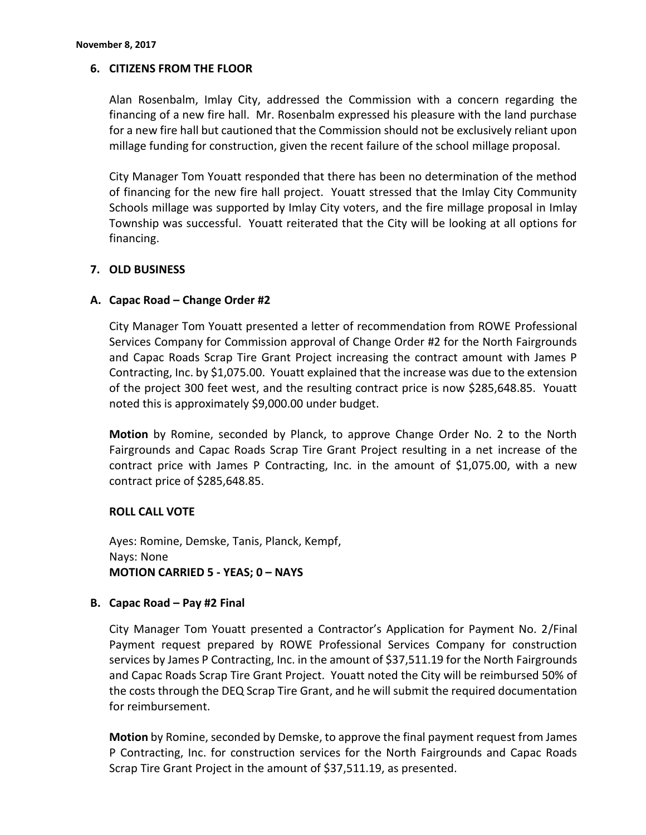# **6. CITIZENS FROM THE FLOOR**

Alan Rosenbalm, Imlay City, addressed the Commission with a concern regarding the financing of a new fire hall. Mr. Rosenbalm expressed his pleasure with the land purchase for a new fire hall but cautioned that the Commission should not be exclusively reliant upon millage funding for construction, given the recent failure of the school millage proposal.

City Manager Tom Youatt responded that there has been no determination of the method of financing for the new fire hall project. Youatt stressed that the Imlay City Community Schools millage was supported by Imlay City voters, and the fire millage proposal in Imlay Township was successful. Youatt reiterated that the City will be looking at all options for financing.

## **7. OLD BUSINESS**

## **A. Capac Road – Change Order #2**

City Manager Tom Youatt presented a letter of recommendation from ROWE Professional Services Company for Commission approval of Change Order #2 for the North Fairgrounds and Capac Roads Scrap Tire Grant Project increasing the contract amount with James P Contracting, Inc. by \$1,075.00. Youatt explained that the increase was due to the extension of the project 300 feet west, and the resulting contract price is now \$285,648.85. Youatt noted this is approximately \$9,000.00 under budget.

**Motion** by Romine, seconded by Planck, to approve Change Order No. 2 to the North Fairgrounds and Capac Roads Scrap Tire Grant Project resulting in a net increase of the contract price with James P Contracting, Inc. in the amount of \$1,075.00, with a new contract price of \$285,648.85.

## **ROLL CALL VOTE**

Ayes: Romine, Demske, Tanis, Planck, Kempf, Nays: None **MOTION CARRIED 5 - YEAS; 0 – NAYS**

## **B. Capac Road – Pay #2 Final**

City Manager Tom Youatt presented a Contractor's Application for Payment No. 2/Final Payment request prepared by ROWE Professional Services Company for construction services by James P Contracting, Inc. in the amount of \$37,511.19 for the North Fairgrounds and Capac Roads Scrap Tire Grant Project. Youatt noted the City will be reimbursed 50% of the costs through the DEQ Scrap Tire Grant, and he will submit the required documentation for reimbursement.

**Motion** by Romine, seconded by Demske, to approve the final payment request from James P Contracting, Inc. for construction services for the North Fairgrounds and Capac Roads Scrap Tire Grant Project in the amount of \$37,511.19, as presented.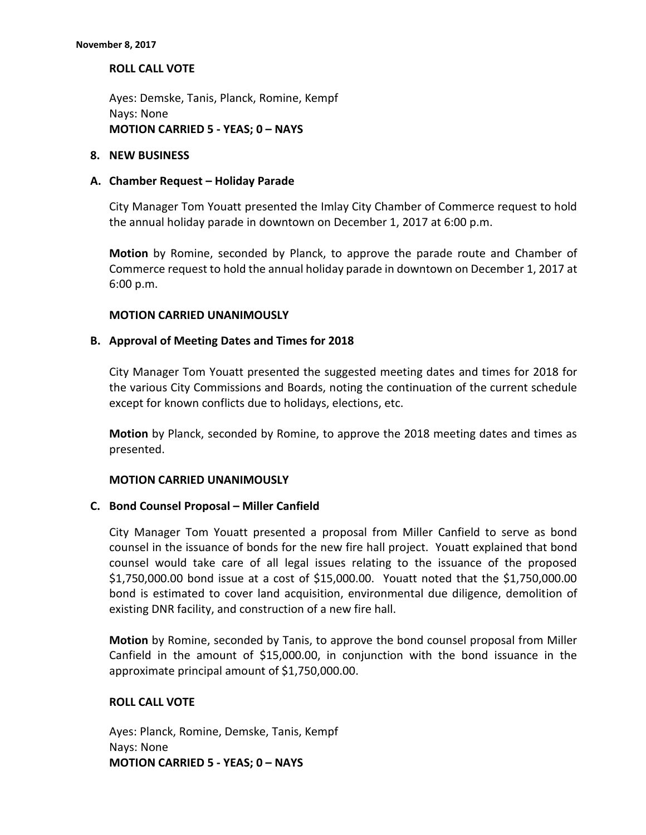**ROLL CALL VOTE**

Ayes: Demske, Tanis, Planck, Romine, Kempf Nays: None **MOTION CARRIED 5 - YEAS; 0 – NAYS**

#### **8. NEW BUSINESS**

### **A. Chamber Request – Holiday Parade**

City Manager Tom Youatt presented the Imlay City Chamber of Commerce request to hold the annual holiday parade in downtown on December 1, 2017 at 6:00 p.m.

**Motion** by Romine, seconded by Planck, to approve the parade route and Chamber of Commerce request to hold the annual holiday parade in downtown on December 1, 2017 at 6:00 p.m.

### **MOTION CARRIED UNANIMOUSLY**

### **B. Approval of Meeting Dates and Times for 2018**

City Manager Tom Youatt presented the suggested meeting dates and times for 2018 for the various City Commissions and Boards, noting the continuation of the current schedule except for known conflicts due to holidays, elections, etc.

**Motion** by Planck, seconded by Romine, to approve the 2018 meeting dates and times as presented.

#### **MOTION CARRIED UNANIMOUSLY**

#### **C. Bond Counsel Proposal – Miller Canfield**

City Manager Tom Youatt presented a proposal from Miller Canfield to serve as bond counsel in the issuance of bonds for the new fire hall project. Youatt explained that bond counsel would take care of all legal issues relating to the issuance of the proposed \$1,750,000.00 bond issue at a cost of \$15,000.00. Youatt noted that the \$1,750,000.00 bond is estimated to cover land acquisition, environmental due diligence, demolition of existing DNR facility, and construction of a new fire hall.

**Motion** by Romine, seconded by Tanis, to approve the bond counsel proposal from Miller Canfield in the amount of \$15,000.00, in conjunction with the bond issuance in the approximate principal amount of \$1,750,000.00.

## **ROLL CALL VOTE**

Ayes: Planck, Romine, Demske, Tanis, Kempf Nays: None **MOTION CARRIED 5 - YEAS; 0 – NAYS**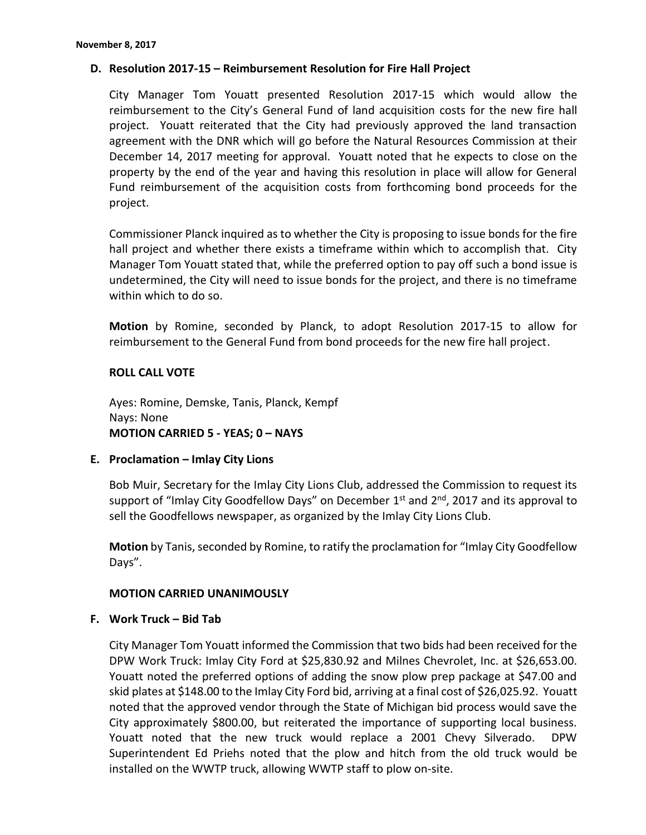# **D. Resolution 2017-15 – Reimbursement Resolution for Fire Hall Project**

City Manager Tom Youatt presented Resolution 2017-15 which would allow the reimbursement to the City's General Fund of land acquisition costs for the new fire hall project. Youatt reiterated that the City had previously approved the land transaction agreement with the DNR which will go before the Natural Resources Commission at their December 14, 2017 meeting for approval. Youatt noted that he expects to close on the property by the end of the year and having this resolution in place will allow for General Fund reimbursement of the acquisition costs from forthcoming bond proceeds for the project.

Commissioner Planck inquired as to whether the City is proposing to issue bonds for the fire hall project and whether there exists a timeframe within which to accomplish that. City Manager Tom Youatt stated that, while the preferred option to pay off such a bond issue is undetermined, the City will need to issue bonds for the project, and there is no timeframe within which to do so.

**Motion** by Romine, seconded by Planck, to adopt Resolution 2017-15 to allow for reimbursement to the General Fund from bond proceeds for the new fire hall project.

## **ROLL CALL VOTE**

Ayes: Romine, Demske, Tanis, Planck, Kempf Nays: None **MOTION CARRIED 5 - YEAS; 0 – NAYS**

## **E. Proclamation – Imlay City Lions**

Bob Muir, Secretary for the Imlay City Lions Club, addressed the Commission to request its support of "Imlay City Goodfellow Days" on December 1<sup>st</sup> and 2<sup>nd</sup>, 2017 and its approval to sell the Goodfellows newspaper, as organized by the Imlay City Lions Club.

**Motion** by Tanis, seconded by Romine, to ratify the proclamation for "Imlay City Goodfellow Days".

## **MOTION CARRIED UNANIMOUSLY**

## **F. Work Truck – Bid Tab**

City Manager Tom Youatt informed the Commission that two bids had been received for the DPW Work Truck: Imlay City Ford at \$25,830.92 and Milnes Chevrolet, Inc. at \$26,653.00. Youatt noted the preferred options of adding the snow plow prep package at \$47.00 and skid plates at \$148.00 to the Imlay City Ford bid, arriving at a final cost of \$26,025.92. Youatt noted that the approved vendor through the State of Michigan bid process would save the City approximately \$800.00, but reiterated the importance of supporting local business. Youatt noted that the new truck would replace a 2001 Chevy Silverado. DPW Superintendent Ed Priehs noted that the plow and hitch from the old truck would be installed on the WWTP truck, allowing WWTP staff to plow on-site.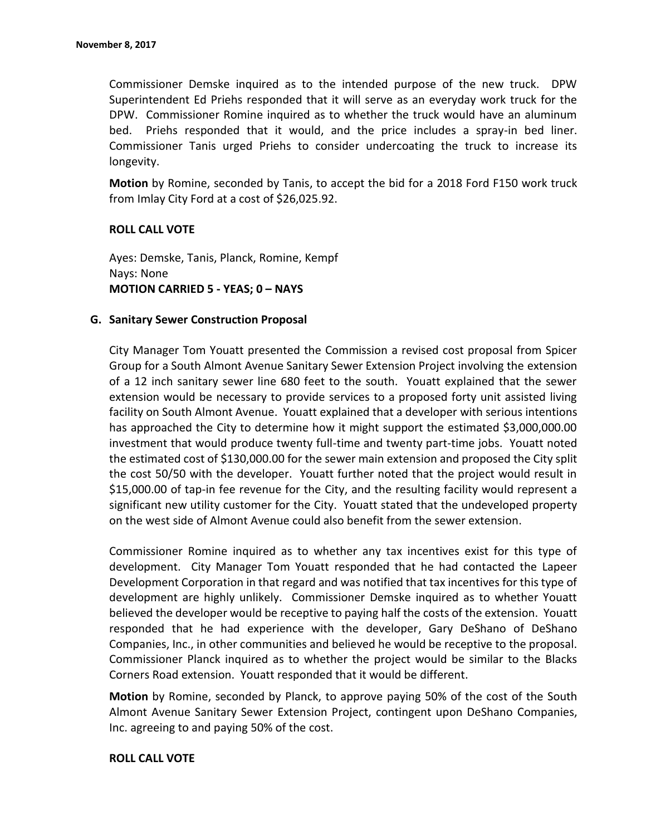Commissioner Demske inquired as to the intended purpose of the new truck. DPW Superintendent Ed Priehs responded that it will serve as an everyday work truck for the DPW. Commissioner Romine inquired as to whether the truck would have an aluminum bed. Priehs responded that it would, and the price includes a spray-in bed liner. Commissioner Tanis urged Priehs to consider undercoating the truck to increase its longevity.

**Motion** by Romine, seconded by Tanis, to accept the bid for a 2018 Ford F150 work truck from Imlay City Ford at a cost of \$26,025.92.

### **ROLL CALL VOTE**

Ayes: Demske, Tanis, Planck, Romine, Kempf Nays: None **MOTION CARRIED 5 - YEAS; 0 – NAYS**

### **G. Sanitary Sewer Construction Proposal**

City Manager Tom Youatt presented the Commission a revised cost proposal from Spicer Group for a South Almont Avenue Sanitary Sewer Extension Project involving the extension of a 12 inch sanitary sewer line 680 feet to the south. Youatt explained that the sewer extension would be necessary to provide services to a proposed forty unit assisted living facility on South Almont Avenue. Youatt explained that a developer with serious intentions has approached the City to determine how it might support the estimated \$3,000,000.00 investment that would produce twenty full-time and twenty part-time jobs. Youatt noted the estimated cost of \$130,000.00 for the sewer main extension and proposed the City split the cost 50/50 with the developer. Youatt further noted that the project would result in \$15,000.00 of tap-in fee revenue for the City, and the resulting facility would represent a significant new utility customer for the City. Youatt stated that the undeveloped property on the west side of Almont Avenue could also benefit from the sewer extension.

Commissioner Romine inquired as to whether any tax incentives exist for this type of development. City Manager Tom Youatt responded that he had contacted the Lapeer Development Corporation in that regard and was notified that tax incentives for this type of development are highly unlikely. Commissioner Demske inquired as to whether Youatt believed the developer would be receptive to paying half the costs of the extension. Youatt responded that he had experience with the developer, Gary DeShano of DeShano Companies, Inc., in other communities and believed he would be receptive to the proposal. Commissioner Planck inquired as to whether the project would be similar to the Blacks Corners Road extension. Youatt responded that it would be different.

**Motion** by Romine, seconded by Planck, to approve paying 50% of the cost of the South Almont Avenue Sanitary Sewer Extension Project, contingent upon DeShano Companies, Inc. agreeing to and paying 50% of the cost.

#### **ROLL CALL VOTE**